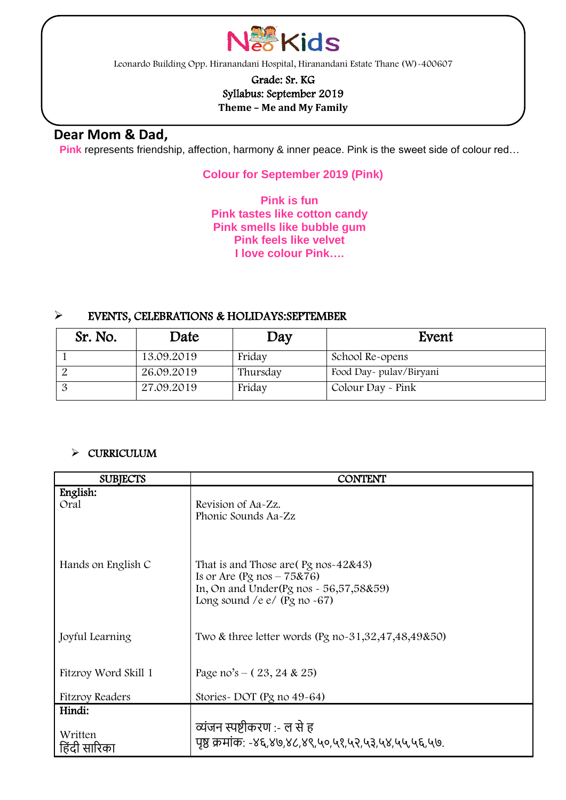

Leonardo Building Opp. Hiranandani Hospital, Hiranandani Estate Thane (W)-400607

## Grade: Sr. KG Syllabus: September 2019 **Theme – Me and My Family**

## **Dear Mom & Dad,**

l

**Pink** represents friendship, affection, harmony & inner peace. Pink is the sweet side of colour red…

## **Colour for September 2019 (Pink)**

**Pink is fun Pink tastes like cotton candy Pink smells like bubble gum Pink feels like velvet I love colour Pink….**

### ➢ EVENTS, CELEBRATIONS & HOLIDAYS:SEPTEMBER

| Sr. No. | Date       | Day      | Event                   |
|---------|------------|----------|-------------------------|
|         | 13.09.2019 | Friday   | School Re-opens         |
|         | 26.09.2019 | Thursday | Food Day- pulav/Biryani |
|         | 27.09.2019 | Friday   | Colour Day - Pink       |

## ➢ CURRICULUM

| <b>SUBJECTS</b>        | <b>CONTENT</b>                                                                             |  |  |
|------------------------|--------------------------------------------------------------------------------------------|--|--|
| English:               |                                                                                            |  |  |
| Oral                   | Revision of Aa-Zz.                                                                         |  |  |
|                        | Phonic Sounds Aa-Zz                                                                        |  |  |
|                        |                                                                                            |  |  |
|                        |                                                                                            |  |  |
| Hands on English C     | That is and Those are $\left(\frac{Pg}{2} \right)$ nos-42&43)                              |  |  |
|                        | Is or Are $(Pg \text{ nos} - 75&76)$                                                       |  |  |
|                        | In, On and Under $(Pg \text{ nos} \sim 56,57,58\&59)$<br>Long sound /e $e/$ (Pg no $-67$ ) |  |  |
|                        |                                                                                            |  |  |
|                        |                                                                                            |  |  |
| Joyful Learning        | Two & three letter words (Pg no- $31,32,47,48,49850$ )                                     |  |  |
|                        |                                                                                            |  |  |
| Fitzroy Word Skill 1   | Page no's $- (23, 24 \& 25)$                                                               |  |  |
|                        |                                                                                            |  |  |
| <b>Fitzroy Readers</b> | Stories-DOT (Pg no 49-64)                                                                  |  |  |
| Hindi:                 |                                                                                            |  |  |
| Written                | व्यंजन स्पष्टीकरण :- ल से ह                                                                |  |  |
| हिंदी सारिका           | पृष्ठं क्रमांक: -४६,४७,४८,४९,५०,५१,५२,५३,५४,५५,५६,५७.                                      |  |  |
|                        |                                                                                            |  |  |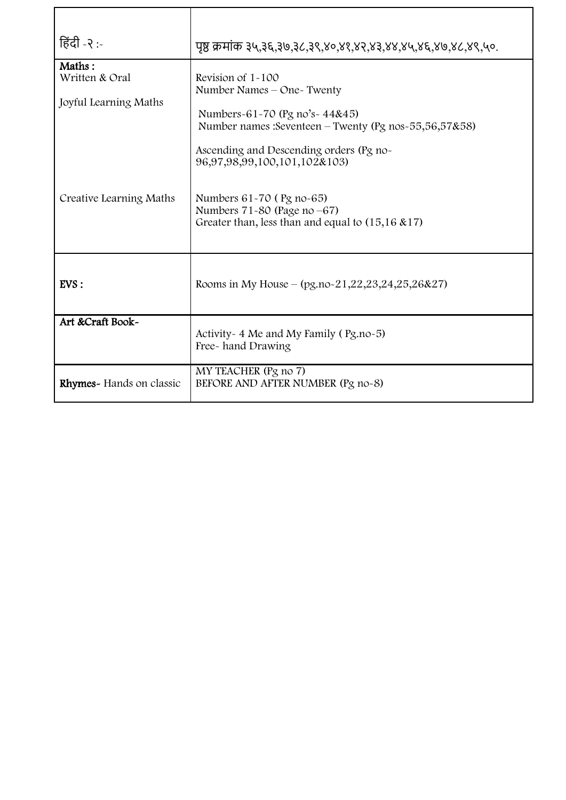| हिंदी -२ :-                                                                  | पृष्ठं क्रमांक ३५,३६,३७,३८,३९,४०,४१,४२,४३,४४,४५,४६,४७,४८,४९,५०.                                                                                                                                                                                                                                                                               |
|------------------------------------------------------------------------------|-----------------------------------------------------------------------------------------------------------------------------------------------------------------------------------------------------------------------------------------------------------------------------------------------------------------------------------------------|
| Maths:<br>Written & Oral<br>Joyful Learning Maths<br>Creative Learning Maths | Revision of $1 - 100$<br>Number Names - One~ Twenty<br>Numbers-61-70 (Pg no's-44&45)<br>Number names: Seventeen – Twenty (Pg nos-55,56,57&58)<br>Ascending and Descending orders (Pg no-<br>96,97,98,99,100,101,102&103)<br>Numbers 61-70 (Pg no-65)<br>Numbers $71-80$ (Page no $-67$ )<br>Greater than, less than and equal to (15,16 & 17) |
| EVS:                                                                         | Rooms in My House – $(pg.no-21,22,23,24,25,26&27)$                                                                                                                                                                                                                                                                                            |
| Art &Craft Book~                                                             | Activity - 4 Me and My Family (Pg.no-5)<br>Free-hand Drawing                                                                                                                                                                                                                                                                                  |
| Rhymes- Hands on classic                                                     | MY TEACHER (Pg no 7)<br>BEFORE AND AFTER NUMBER (Pg no-8)                                                                                                                                                                                                                                                                                     |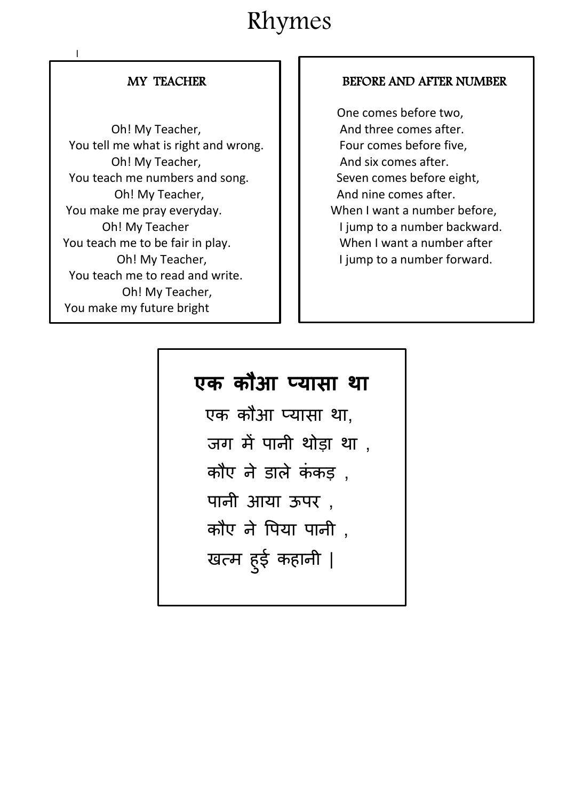# Rhymes

 $\frac{1}{\sqrt{2}}$ 

٦

Oh! My Teacher, **And three comes after.** You tell me what is right and wrong.  $\|\cdot\|$  Four comes before five, Oh! My Teacher, And six comes after. You teach me numbers and song.  $\|\cdot\|$  Seven comes before eight, Oh! My Teacher, **And nine comes after.**  You make me pray everyday. When I want a number before, You teach me to be fair in play.  $\|\cdot\|$  When I want a number after You teach me to read and write. Oh! My Teacher, You make my future bright

## MY TEACHER **BEFORE AND AFTER NUMBER**

 One comes before two, Oh! My Teacher **I I** jump to a number backward. Oh! My Teacher, **I** jump to a number forward.

## **एक कौआ प्यासा था**

एक कौआ प्यासा था, जग में पानी थोड़ा था , कौए $\sigma$ ने डाले कंकड़). पानी आया ऊपर , कौए ने पपया पानी , खत्म हुई कहानी |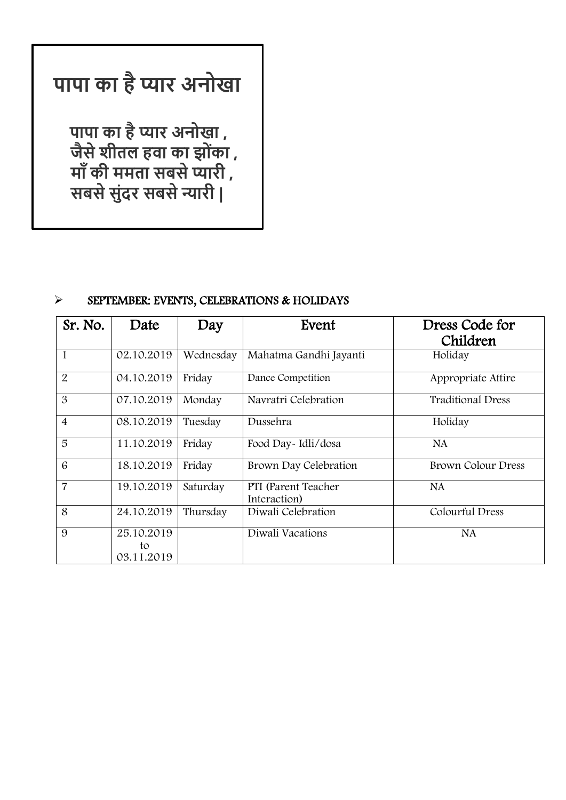# **पापा का हैप्यार अनोखा**

 **पापा का हैप्यार अनोखा , जैसेशीतल हवा का झो ोंका , मााँकी ममता सबसेप्यारी , सबसेस ोंदर सबसेन्यारी |** 

## ➢ SEPTEMBER: EVENTS, CELEBRATIONS & HOLIDAYS

| Sr. No.        | Date                           | Day       | Event                               | Dress Code for<br>Children |
|----------------|--------------------------------|-----------|-------------------------------------|----------------------------|
| 1              | 02.10.2019                     | Wednesday | Mahatma Gandhi Jayanti              | Holiday                    |
| $\overline{2}$ | 04.10.2019                     | Friday    | Dance Competition                   | Appropriate Attire         |
| 3              | 07.10.2019                     | Monday    | Navratri Celebration                | <b>Traditional Dress</b>   |
| $\overline{4}$ | 08.10.2019                     | Tuesday   | Dussehra                            | Holiday                    |
| 5              | 11.10.2019                     | Friday    | Food Day-Idli/dosa                  | <b>NA</b>                  |
| 6              | 18.10.2019                     | Friday    | Brown Day Celebration               | <b>Brown Colour Dress</b>  |
| 7              | 19.10.2019                     | Saturday  | PTI (Parent Teacher<br>Interaction) | <b>NA</b>                  |
| 8              | 24.10.2019                     | Thursday  | Diwali Celebration                  | Colourful Dress            |
| 9              | 25.10.2019<br>to<br>03.11.2019 |           | Diwali Vacations                    | <b>NA</b>                  |